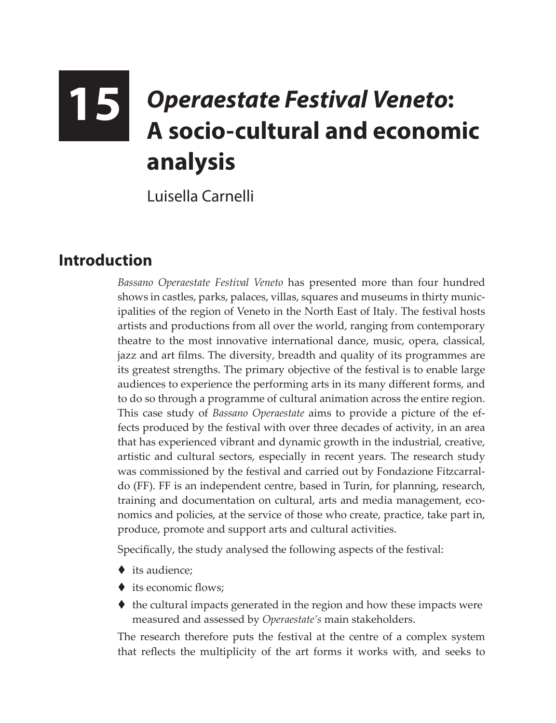# **15** *Operaestate Festival Veneto***: A socio-cultural and economic analysis**

Luisella Carnelli

### **Introduction**

*Bassano Operaestate Festival Veneto* has presented more than four hundred shows in castles, parks, palaces, villas, squares and museums in thirty municipalities of the region of Veneto in the North East of Italy. The festival hosts artists and productions from all over the world, ranging from contemporary theatre to the most innovative international dance, music, opera, classical, jazz and art films. The diversity, breadth and quality of its programmes are its greatest strengths. The primary objective of the festival is to enable large audiences to experience the performing arts in its many different forms, and to do so through a programme of cultural animation across the entire region. This case study of *Bassano Operaestate* aims to provide a picture of the effects produced by the festival with over three decades of activity, in an area that has experienced vibrant and dynamic growth in the industrial, creative, artistic and cultural sectors, especially in recent years. The research study was commissioned by the festival and carried out by Fondazione Fitzcarraldo (FF). FF is an independent centre, based in Turin, for planning, research, training and documentation on cultural, arts and media management, economics and policies, at the service of those who create, practice, take part in, produce, promote and support arts and cultural activities.

Specifically, the study analysed the following aspects of the festival:

- $\bullet$  its audience:
- ♦ its economic flows;
- $\blacklozenge$  the cultural impacts generated in the region and how these impacts were measured and assessed by *Operaestate's* main stakeholders.

The research therefore puts the festival at the centre of a complex system that reflects the multiplicity of the art forms it works with, and seeks to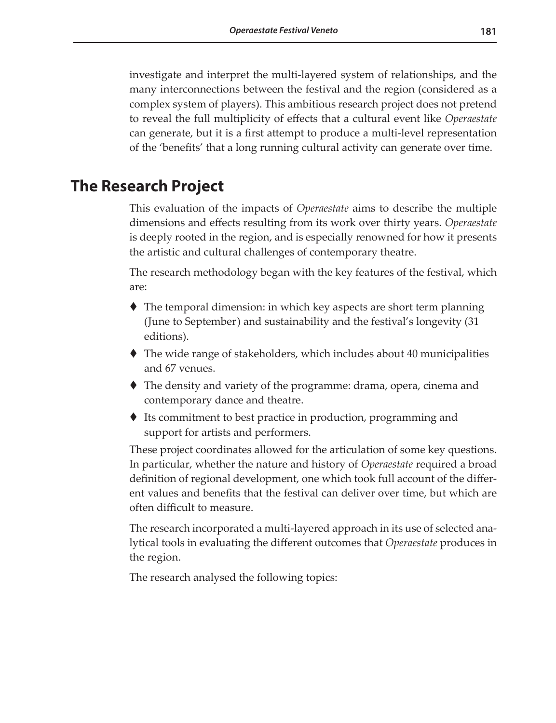investigate and interpret the multi-layered system of relationships, and the many interconnections between the festival and the region (considered as a complex system of players). This ambitious research project does not pretend to reveal the full multiplicity of effects that a cultural event like *Operaestate* can generate, but it is a first attempt to produce a multi-level representation of the 'benefits' that a long running cultural activity can generate over time.

#### **The Research Project**

This evaluation of the impacts of *Operaestate* aims to describe the multiple dimensions and effects resulting from its work over thirty years. *Operaestate* is deeply rooted in the region, and is especially renowned for how it presents the artistic and cultural challenges of contemporary theatre.

The research methodology began with the key features of the festival, which are:

- The temporal dimension: in which key aspects are short term planning (June to September) and sustainability and the festival's longevity (31 editions).
- The wide range of stakeholders, which includes about 40 municipalities and 67 venues.
- The density and variety of the programme: drama, opera, cinema and contemporary dance and theatre.
- ◆ Its commitment to best practice in production, programming and support for artists and performers.

These project coordinates allowed for the articulation of some key questions. In particular, whether the nature and history of *Operaestate* required a broad definition of regional development, one which took full account of the different values and benefits that the festival can deliver over time, but which are often difficult to measure.

The research incorporated a multi-layered approach in its use of selected analytical tools in evaluating the different outcomes that *Operaestate* produces in the region.

The research analysed the following topics: